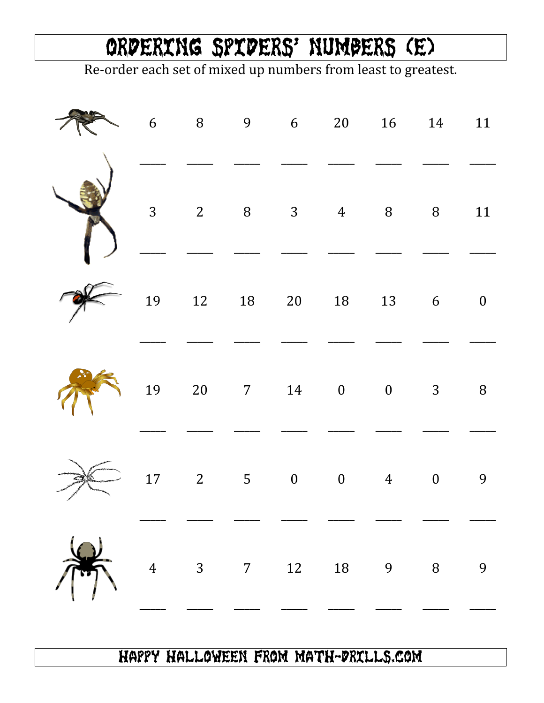## Ordering Spiders' Numbers (E)

Re-order each set of mixed up numbers from least to greatest.

|                |                         |               | 6 8 9 6 20 16 14 11                                                                      |   |        |
|----------------|-------------------------|---------------|------------------------------------------------------------------------------------------|---|--------|
|                |                         |               | $\begin{array}{cccccccccccccc} 3 & & 2 & & 8 & & 3 & & 4 & & 8 & & 8 & & 11 \end{array}$ |   |        |
|                |                         |               | 19    12    18    20    18    13    6    0                                               |   |        |
|                |                         |               | $19$ 20 7 14 0 0 3                                                                       |   | $\, 8$ |
|                |                         |               | $17$ 2   5   0   0   4   0                                                               |   | 9      |
| $\overline{4}$ | $\overline{\mathbf{3}}$ | $7 \qquad 12$ | 18 9                                                                                     | 8 | 9      |

## Happy Halloween from Math-Drills.com